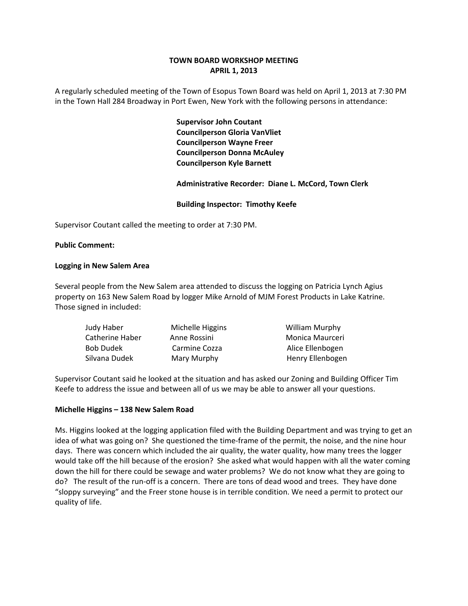# **TOWN BOARD WORKSHOP MEETING APRIL 1, 2013**

A regularly scheduled meeting of the Town of Esopus Town Board was held on April 1, 2013 at 7:30 PM in the Town Hall 284 Broadway in Port Ewen, New York with the following persons in attendance:

> **Supervisor John Coutant Councilperson Gloria VanVliet Councilperson Wayne Freer Councilperson Donna McAuley Councilperson Kyle Barnett**

 **Administrative Recorder: Diane L. McCord, Town Clerk**

## **Building Inspector: Timothy Keefe**

Supervisor Coutant called the meeting to order at 7:30 PM.

## **Public Comment:**

### **Logging in New Salem Area**

Several people from the New Salem area attended to discuss the logging on Patricia Lynch Agius property on 163 New Salem Road by logger Mike Arnold of MJM Forest Products in Lake Katrine. Those signed in included:

| Judy Haber       | Michelle Higgins | <b>William Murphy</b> |
|------------------|------------------|-----------------------|
| Catherine Haber  | Anne Rossini     | Monica Maurceri       |
| <b>Bob Dudek</b> | Carmine Cozza    | Alice Ellenbogen      |
| Silvana Dudek    | Mary Murphy      | Henry Ellenbogen      |

Supervisor Coutant said he looked at the situation and has asked our Zoning and Building Officer Tim Keefe to address the issue and between all of us we may be able to answer all your questions.

### **Michelle Higgins – 138 New Salem Road**

Ms. Higgins looked at the logging application filed with the Building Department and was trying to get an idea of what was going on? She questioned the time-frame of the permit, the noise, and the nine hour days. There was concern which included the air quality, the water quality, how many trees the logger would take off the hill because of the erosion? She asked what would happen with all the water coming down the hill for there could be sewage and water problems? We do not know what they are going to do? The result of the run-off is a concern. There are tons of dead wood and trees. They have done "sloppy surveying" and the Freer stone house is in terrible condition. We need a permit to protect our quality of life.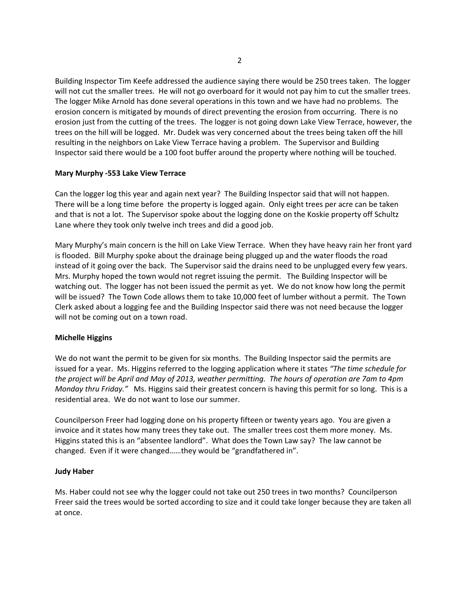Building Inspector Tim Keefe addressed the audience saying there would be 250 trees taken. The logger will not cut the smaller trees. He will not go overboard for it would not pay him to cut the smaller trees. The logger Mike Arnold has done several operations in this town and we have had no problems. The erosion concern is mitigated by mounds of direct preventing the erosion from occurring. There is no erosion just from the cutting of the trees. The logger is not going down Lake View Terrace, however, the trees on the hill will be logged. Mr. Dudek was very concerned about the trees being taken off the hill resulting in the neighbors on Lake View Terrace having a problem. The Supervisor and Building Inspector said there would be a 100 foot buffer around the property where nothing will be touched.

## **Mary Murphy ‐553 Lake View Terrace**

Can the logger log this year and again next year? The Building Inspector said that will not happen. There will be a long time before the property is logged again. Only eight trees per acre can be taken and that is not a lot. The Supervisor spoke about the logging done on the Koskie property off Schultz Lane where they took only twelve inch trees and did a good job.

Mary Murphy's main concern is the hill on Lake View Terrace. When they have heavy rain her front yard is flooded. Bill Murphy spoke about the drainage being plugged up and the water floods the road instead of it going over the back. The Supervisor said the drains need to be unplugged every few years. Mrs. Murphy hoped the town would not regret issuing the permit. The Building Inspector will be watching out. The logger has not been issued the permit as yet. We do not know how long the permit will be issued? The Town Code allows them to take 10,000 feet of lumber without a permit. The Town Clerk asked about a logging fee and the Building Inspector said there was not need because the logger will not be coming out on a town road.

# **Michelle Higgins**

We do not want the permit to be given for six months. The Building Inspector said the permits are issued for a year. Ms. Higgins referred to the logging application where it states *"The time schedule for* the project will be April and May of 2013, weather permitting. The hours of operation are 7am to 4pm *Monday thru Friday."* Ms. Higgins said their greatest concern is having this permit for so long. This is a residential area. We do not want to lose our summer.

Councilperson Freer had logging done on his property fifteen or twenty years ago. You are given a invoice and it states how many trees they take out. The smaller trees cost them more money. Ms. Higgins stated this is an "absentee landlord". What does the Town Law say? The law cannot be changed. Even if it were changed……they would be "grandfathered in".

# **Judy Haber**

Ms. Haber could not see why the logger could not take out 250 trees in two months? Councilperson Freer said the trees would be sorted according to size and it could take longer because they are taken all at once.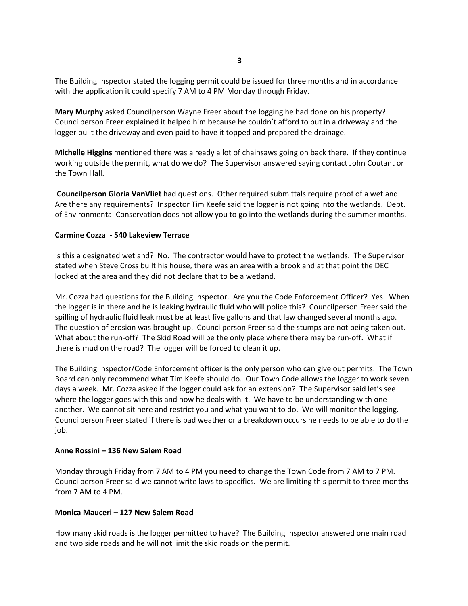The Building Inspector stated the logging permit could be issued for three months and in accordance with the application it could specify 7 AM to 4 PM Monday through Friday.

**Mary Murphy** asked Councilperson Wayne Freer about the logging he had done on his property? Councilperson Freer explained it helped him because he couldn't afford to put in a driveway and the logger built the driveway and even paid to have it topped and prepared the drainage.

**Michelle Higgins** mentioned there was already a lot of chainsaws going on back there. If they continue working outside the permit, what do we do? The Supervisor answered saying contact John Coutant or the Town Hall.

**Councilperson Gloria VanVliet** had questions. Other required submittals require proof of a wetland. Are there any requirements? Inspector Tim Keefe said the logger is not going into the wetlands. Dept. of Environmental Conservation does not allow you to go into the wetlands during the summer months.

#### **Carmine Cozza ‐ 540 Lakeview Terrace**

Is this a designated wetland? No. The contractor would have to protect the wetlands. The Supervisor stated when Steve Cross built his house, there was an area with a brook and at that point the DEC looked at the area and they did not declare that to be a wetland.

Mr. Cozza had questions for the Building Inspector. Are you the Code Enforcement Officer? Yes. When the logger is in there and he is leaking hydraulic fluid who will police this? Councilperson Freer said the spilling of hydraulic fluid leak must be at least five gallons and that law changed several months ago. The question of erosion was brought up. Councilperson Freer said the stumps are not being taken out. What about the run-off? The Skid Road will be the only place where there may be run-off. What if there is mud on the road? The logger will be forced to clean it up.

The Building Inspector/Code Enforcement officer is the only person who can give out permits. The Town Board can only recommend what Tim Keefe should do. Our Town Code allows the logger to work seven days a week. Mr. Cozza asked if the logger could ask for an extension? The Supervisor said let's see where the logger goes with this and how he deals with it. We have to be understanding with one another. We cannot sit here and restrict you and what you want to do. We will monitor the logging. Councilperson Freer stated if there is bad weather or a breakdown occurs he needs to be able to do the job.

#### **Anne Rossini – 136 New Salem Road**

Monday through Friday from 7 AM to 4 PM you need to change the Town Code from 7 AM to 7 PM. Councilperson Freer said we cannot write laws to specifics. We are limiting this permit to three months from 7 AM to 4 PM.

#### **Monica Mauceri – 127 New Salem Road**

How many skid roads is the logger permitted to have? The Building Inspector answered one main road and two side roads and he will not limit the skid roads on the permit.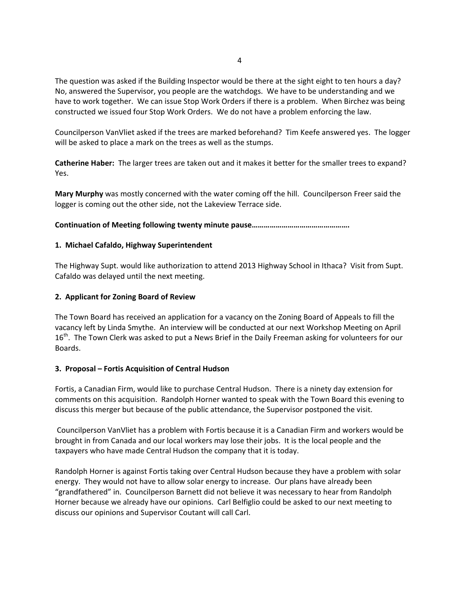The question was asked if the Building Inspector would be there at the sight eight to ten hours a day? No, answered the Supervisor, you people are the watchdogs. We have to be understanding and we have to work together. We can issue Stop Work Orders if there is a problem. When Birchez was being constructed we issued four Stop Work Orders. We do not have a problem enforcing the law.

Councilperson VanVliet asked if the trees are marked beforehand? Tim Keefe answered yes. The logger will be asked to place a mark on the trees as well as the stumps.

**Catherine Haber:** The larger trees are taken out and it makes it better for the smaller trees to expand? Yes.

**Mary Murphy** was mostly concerned with the water coming off the hill. Councilperson Freer said the logger is coming out the other side, not the Lakeview Terrace side.

**Continuation of Meeting following twenty minute pause………………………………………….**

## **1. Michael Cafaldo, Highway Superintendent**

The Highway Supt. would like authorization to attend 2013 Highway School in Ithaca? Visit from Supt. Cafaldo was delayed until the next meeting.

## **2. Applicant for Zoning Board of Review**

The Town Board has received an application for a vacancy on the Zoning Board of Appeals to fill the vacancy left by Linda Smythe. An interview will be conducted at our next Workshop Meeting on April 16<sup>th</sup>. The Town Clerk was asked to put a News Brief in the Daily Freeman asking for volunteers for our Boards.

# **3. Proposal – Fortis Acquisition of Central Hudson**

Fortis, a Canadian Firm, would like to purchase Central Hudson. There is a ninety day extension for comments on this acquisition. Randolph Horner wanted to speak with the Town Board this evening to discuss this merger but because of the public attendance, the Supervisor postponed the visit.

Councilperson VanVliet has a problem with Fortis because it is a Canadian Firm and workers would be brought in from Canada and our local workers may lose their jobs. It is the local people and the taxpayers who have made Central Hudson the company that it is today.

Randolph Horner is against Fortis taking over Central Hudson because they have a problem with solar energy. They would not have to allow solar energy to increase. Our plans have already been "grandfathered" in. Councilperson Barnett did not believe it was necessary to hear from Randolph Horner because we already have our opinions. Carl Belfiglio could be asked to our next meeting to discuss our opinions and Supervisor Coutant will call Carl.